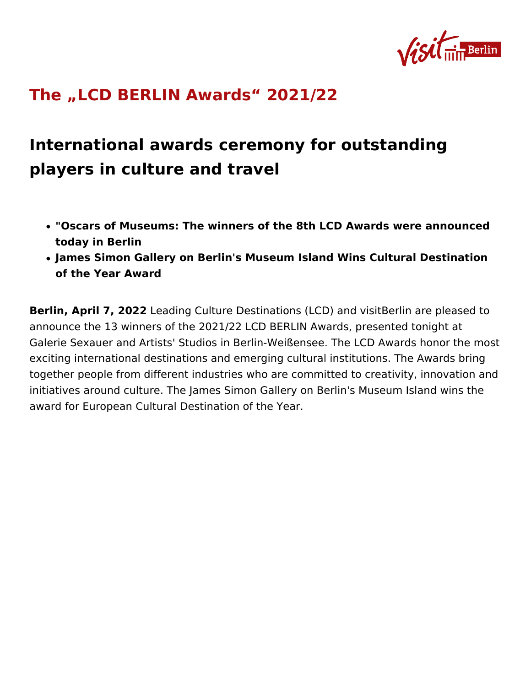# [The LCD BERLIN Awards 2](https://about.visitberlin.de/en/press/press-releases/lcd-berlin-awards-202122)021/22

International awards ceremony for outstandir players in culture and travel

- . "Oscars of Museums: The winners of the 8th LCD Awards were a today in Berlin
- James Simon Gallery on Berlin's Museum Island Wins Cultural D of the Year Award

Berlin, April 7, 2022ding Culture Destinations (LCD) and visitBerlin announce the 13 winners of the 2021/22 LCD BERLIN Awards, prese Galerie Sexauer and Artists' Studios in Berlin-Weißensee. The LCD exciting international destinations and emerging cultural institutior together people from different industries who are committed to crea initiatives around culture. The James Simon Gallery on Berlin's Mus award for European Cultural Destination of the Year.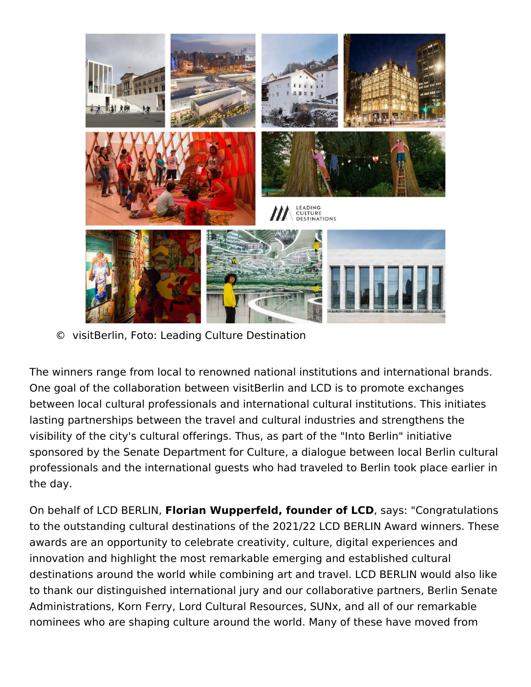

© visitBerlin, Foto: Leading Culture Destination

The winners range from local to renowned national institutions and international brands. One goal of the collaboration between visitBerlin and LCD is to promote exchanges between local cultural professionals and international cultural institutions. This initiates lasting partnerships between the travel and cultural industries and strengthens the visibility of the city's cultural offerings. Thus, as part of the "Into Berlin" initiative sponsored by the Senate Department for Culture, a dialogue between local Berlin cultural professionals and the international guests who had traveled to Berlin took place earlier in the day.

On behalf of LCD BERLIN, **Florian Wupperfeld, founder of LCD**, says: "Congratulations to the outstanding cultural destinations of the 2021/22 LCD BERLIN Award winners. These awards are an opportunity to celebrate creativity, culture, digital experiences and innovation and highlight the most remarkable emerging and established cultural destinations around the world while combining art and travel. LCD BERLIN would also like to thank our distinguished international jury and our collaborative partners, Berlin Senate Administrations, Korn Ferry, Lord Cultural Resources, SUNx, and all of our remarkable nominees who are shaping culture around the world. Many of these have moved from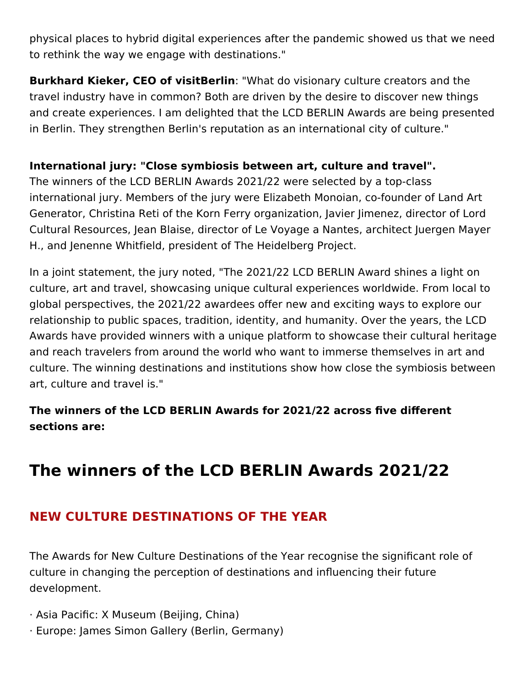physical places to hybrid digital experiences after the pandemic showed us that we need to rethink the way we engage with destinations."

**Burkhard Kieker, CEO of visitBerlin**: "What do visionary culture creators and the travel industry have in common? Both are driven by the desire to discover new things and create experiences. I am delighted that the LCD BERLIN Awards are being presented in Berlin. They strengthen Berlin's reputation as an international city of culture."

#### **International jury: "Close symbiosis between art, culture and travel".**

The winners of the LCD BERLIN Awards 2021/22 were selected by a top-class international jury. Members of the jury were Elizabeth Monoian, co-founder of Land Art Generator, Christina Reti of the Korn Ferry organization, Javier Jimenez, director of Lord Cultural Resources, Jean Blaise, director of Le Voyage a Nantes, architect Juergen Mayer H., and Jenenne Whitfield, president of The Heidelberg Project.

In a joint statement, the jury noted, "The 2021/22 LCD BERLIN Award shines a light on culture, art and travel, showcasing unique cultural experiences worldwide. From local to global perspectives, the 2021/22 awardees offer new and exciting ways to explore our relationship to public spaces, tradition, identity, and humanity. Over the years, the LCD Awards have provided winners with a unique platform to showcase their cultural heritage and reach travelers from around the world who want to immerse themselves in art and culture. The winning destinations and institutions show how close the symbiosis between art, culture and travel is."

**The winners of the LCD BERLIN Awards for 2021/22 across five different sections are:**

# **The winners of the LCD BERLIN Awards 2021/22**

# **NEW CULTURE DESTINATIONS OF THE YEAR**

The Awards for New Culture Destinations of the Year recognise the significant role of culture in changing the perception of destinations and influencing their future development.

- · Asia Pacific: X Museum (Beijing, China)
- · Europe: James Simon Gallery (Berlin, Germany)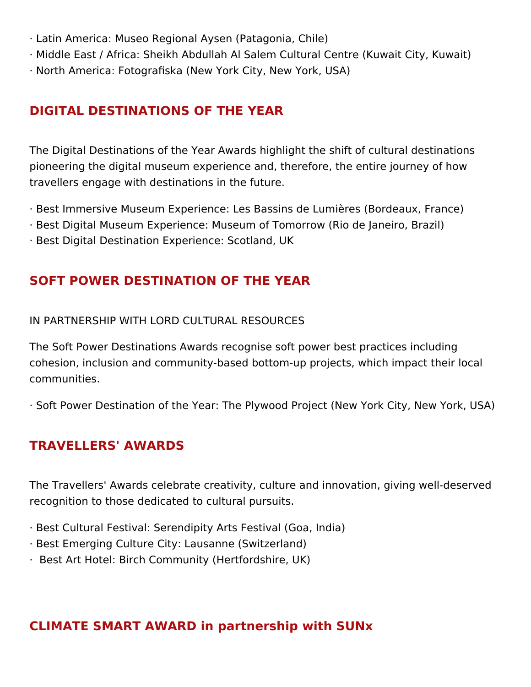- · Latin America: Museo Regional Aysen (Patagonia, Chile)
- · Middle East / Africa: Sheikh Abdullah Al Salem Cultural Centre (Kuwait City, Kuwait)
- · North America: Fotografiska (New York City, New York, USA)

#### **DIGITAL DESTINATIONS OF THE YEAR**

The Digital Destinations of the Year Awards highlight the shift of cultural destinations pioneering the digital museum experience and, therefore, the entire journey of how travellers engage with destinations in the future.

- · Best Immersive Museum Experience: Les Bassins de Lumières (Bordeaux, France)
- · Best Digital Museum Experience: Museum of Tomorrow (Rio de Janeiro, Brazil)
- · Best Digital Destination Experience: Scotland, UK

### **SOFT POWER DESTINATION OF THE YEAR**

#### IN PARTNERSHIP WITH LORD CULTURAL RESOURCES

The Soft Power Destinations Awards recognise soft power best practices including cohesion, inclusion and community-based bottom-up projects, which impact their local communities.

· Soft Power Destination of the Year: The Plywood Project (New York City, New York, USA)

#### **TRAVELLERS' AWARDS**

The Travellers' Awards celebrate creativity, culture and innovation, giving well-deserved recognition to those dedicated to cultural pursuits.

- · Best Cultural Festival: Serendipity Arts Festival (Goa, India)
- · Best Emerging Culture City: Lausanne (Switzerland)
- · Best Art Hotel: Birch Community (Hertfordshire, UK)

## **CLIMATE SMART AWARD in partnership with SUNx**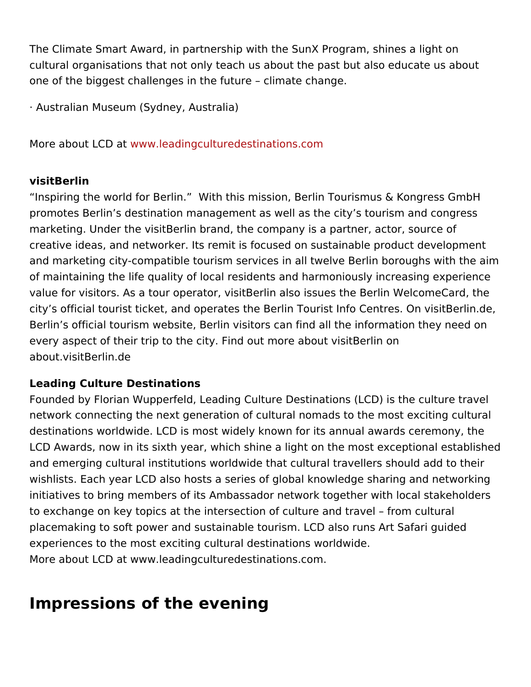The Climate Smart Award, in partnership with the SunX Program, sh cultural organisations that not only teach us about the past but als one of the biggest challenges in the future climate change.

· Australian Museum (Sydney, Australia)

More about L C wDw wat leading cultured estinations.com

#### visitBerlin

Inspiring the world for Berlin. With this mission, Berlin Tourismu promotes Berlin s destination management as well as the city s tou marketing. Under the visitBerlin brand, the company is a partner, a creative ideas, and networker. Its remit is focused on sustainable p and marketing city-compatible tourism services in all twelve Berlin of maintaining the life quality of local residents and harmoniously i value for visitors. As a tour operator, visitBerlin also issues the Be city s official tourist ticket, and operates the Berli $\mathsf D$ n  $\alpha$ usisBenlfion.  $\mathsf d$ e Berlin s official tourism website, Berlin visitors can find all the inf every aspect of their trip Fointon counting ore about visit Berlin on about.visitBerlin.de

#### Leading Culture Destinations

Founded by Florian Wupperfeld, Leading Culture Destinations (LCD) network connecting the next generation of cultural nomads to the m destinations worldwide. LCD is most widely known for its annual aw LCD Awards, now in its sixth year, which shine a light on the most and emerging cultural institutions worldwide that cultural travellers wishlists. Each year LCD also hosts a series of global knowledge sharing and networking and networking and net initiatives to bring members of its Ambassador network together wit to exchange on key topics at the intersection of culture and travel placemaking to soft power and sustainable tourism. LCD also runs, experiences to the most exciting cultural destinations worldwide. More about LCD at www.leadingculturedestinations.com.

### Impressions of the evening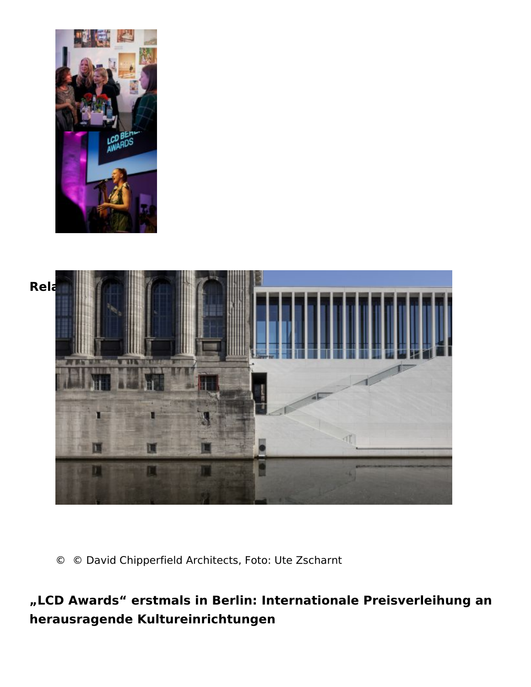Related Posts

© © David Chipperfield Architects, Foto: Ute Zscharnt

LCD Awards erstmals in Berlin: Internationale Preisverle herausragende Kultureinrichtungen